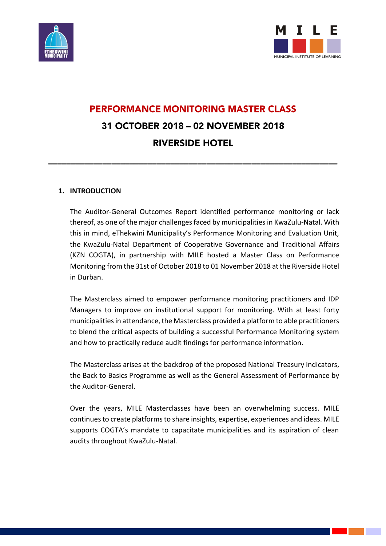



# **PERFORMANCE MONITORING MASTER CLASS** 31 OCTOBER 2018 - 02 NOVEMBER 2018 **RIVERSIDE HOTEL**

**\_\_\_\_\_\_\_\_\_\_\_\_\_\_\_\_\_\_\_\_\_\_\_\_\_\_\_\_\_\_\_\_\_\_\_\_\_\_\_\_\_\_\_\_\_\_\_\_\_\_\_\_\_\_\_\_\_\_\_\_\_\_\_\_**

# **1. INTRODUCTION**

The Auditor-General Outcomes Report identified performance monitoring or lack thereof, as one of the major challenges faced by municipalities in KwaZulu-Natal. With this in mind, eThekwini Municipality's Performance Monitoring and Evaluation Unit, the KwaZulu-Natal Department of Cooperative Governance and Traditional Affairs (KZN COGTA), in partnership with MILE hosted a Master Class on Performance Monitoring from the 31st of October 2018 to 01 November 2018 at the Riverside Hotel in Durban.

The Masterclass aimed to empower performance monitoring practitioners and IDP Managers to improve on institutional support for monitoring. With at least forty municipalities in attendance, the Masterclass provided a platform to able practitioners to blend the critical aspects of building a successful Performance Monitoring system and how to practically reduce audit findings for performance information.

The Masterclass arises at the backdrop of the proposed National Treasury indicators, the Back to Basics Programme as well as the General Assessment of Performance by the Auditor-General.

Over the years, MILE Masterclasses have been an overwhelming success. MILE continues to create platforms to share insights, expertise, experiences and ideas. MILE supports COGTA's mandate to capacitate municipalities and its aspiration of clean audits throughout KwaZulu-Natal.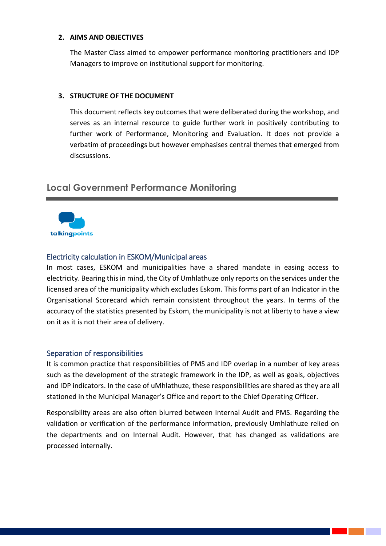#### **2. AIMS AND OBJECTIVES**

The Master Class aimed to empower performance monitoring practitioners and IDP Managers to improve on institutional support for monitoring.

### **3. STRUCTURE OF THE DOCUMENT**

This document reflects key outcomes that were deliberated during the workshop, and serves as an internal resource to guide further work in positively contributing to further work of Performance, Monitoring and Evaluation. It does not provide a verbatim of proceedings but however emphasises central themes that emerged from discsussions.

# **Local Government Performance Monitoring**



# Electricity calculation in ESKOM/Municipal areas

In most cases, ESKOM and municipalities have a shared mandate in easing access to electricity. Bearing this in mind, the City of Umhlathuze only reports on the services under the licensed area of the municipality which excludes Eskom. This forms part of an Indicator in the Organisational Scorecard which remain consistent throughout the years. In terms of the accuracy of the statistics presented by Eskom, the municipality is not at liberty to have a view on it as it is not their area of delivery.

#### Separation of responsibilities

It is common practice that responsibilities of PMS and IDP overlap in a number of key areas such as the development of the strategic framework in the IDP, as well as goals, objectives and IDP indicators. In the case of uMhlathuze, these responsibilities are shared as they are all stationed in the Municipal Manager's Office and report to the Chief Operating Officer.

Responsibility areas are also often blurred between Internal Audit and PMS. Regarding the validation or verification of the performance information, previously Umhlathuze relied on the departments and on Internal Audit. However, that has changed as validations are processed internally.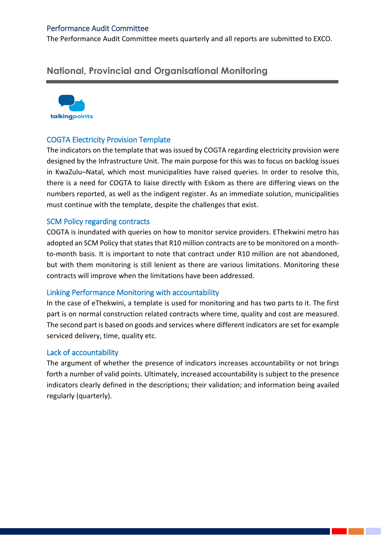# Performance Audit Committee

The Performance Audit Committee meets quarterly and all reports are submitted to EXCO.

# **National, Provincial and Organisational Monitoring**



# COGTA Electricity Provision Template

The indicators on the template that was issued by COGTA regarding electricity provision were designed by the Infrastructure Unit. The main purpose for this was to focus on backlog issues in KwaZulu–Natal, which most municipalities have raised queries. In order to resolve this, there is a need for COGTA to liaise directly with Eskom as there are differing views on the numbers reported, as well as the indigent register. As an immediate solution, municipalities must continue with the template, despite the challenges that exist.

### SCM Policy regarding contracts

COGTA is inundated with queries on how to monitor service providers. EThekwini metro has adopted an SCM Policy that states that R10 million contracts are to be monitored on a monthto-month basis. It is important to note that contract under R10 million are not abandoned, but with them monitoring is still lenient as there are various limitations. Monitoring these contracts will improve when the limitations have been addressed.

# Linking Performance Monitoring with accountability

In the case of eThekwini, a template is used for monitoring and has two parts to it. The first part is on normal construction related contracts where time, quality and cost are measured. The second part is based on goods and services where different indicators are set for example serviced delivery, time, quality etc.

#### Lack of accountability

The argument of whether the presence of indicators increases accountability or not brings forth a number of valid points. Ultimately, increased accountability is subject to the presence indicators clearly defined in the descriptions; their validation; and information being availed regularly (quarterly).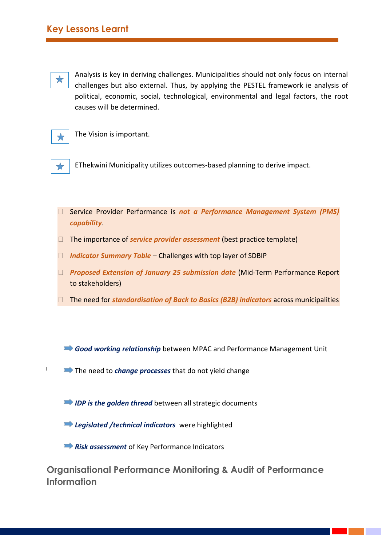# **Key Lessons Learnt**

Analysis is key in deriving challenges. Municipalities should not only focus on internal  $\star$ challenges but also external. Thus, by applying the PESTEL framework ie analysis of political, economic, social, technological, environmental and legal factors, the root causes will be determined.



The Vision is important.



 $\mathbb{L}$ 

EThekwini Municipality utilizes outcomes-based planning to derive impact.

- Service Provider Performance is *not a Performance Management System (PMS) capability*.
- $\Box$  The importance of *service provider assessment* (best practice template)
- *Indicator Summary Table* Challenges with top layer of SDBIP
- *Proposed Extension of January 25 submission date* (Mid-Term Performance Report to stakeholders)
- The need for *standardisation of Back to Basics (B2B) indicators* across municipalities

**■ Good working relationship** between MPAC and Performance Management Unit

- The need to *change processes* that do not yield change
- **IDP** is the golden thread between all strategic documents
- *Legislated /technical indicators* were highlighted
- **Risk assessment** of Key Performance Indicators

**Organisational Performance Monitoring & Audit of Performance Information**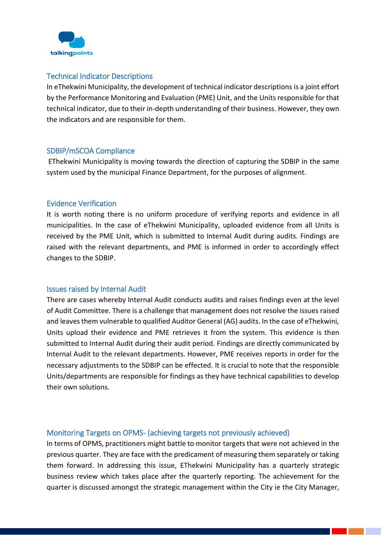

# Technical Indicator Descriptions

In eThekwini Municipality, the development of technical indicator descriptions is a joint effort by the Performance Monitoring and Evaluation (PME) Unit, and the Units responsible for that technical indicator, due to their in-depth understanding of their business. However, they own the indicators and are responsible for them.

### SDBIP/mSCOA Compliance

EThekwini Municipality is moving towards the direction of capturing the SDBIP in the same system used by the municipal Finance Department, for the purposes of alignment.

# Evidence Verification

It is worth noting there is no uniform procedure of verifying reports and evidence in all municipalities. In the case of eThekwini Municipality, uploaded evidence from all Units is received by the PME Unit, which is submitted to Internal Audit during audits. Findings are raised with the relevant departments, and PME is informed in order to accordingly effect changes to the SDBIP.

#### Issues raised by Internal Audit

There are cases whereby Internal Audit conducts audits and raises findings even at the level of Audit Committee. There is a challenge that management does not resolve the issues raised and leaves them vulnerable to qualified Auditor General (AG) audits. In the case of eThekwini, Units upload their evidence and PME retrieves it from the system. This evidence is then submitted to Internal Audit during their audit period. Findings are directly communicated by Internal Audit to the relevant departments. However, PME receives reports in order for the necessary adjustments to the SDBIP can be effected. It is crucial to note that the responsible Units/departments are responsible for findings as they have technical capabilities to develop their own solutions.

# Monitoring Targets on OPMS- (achieving targets not previously achieved)

In terms of OPMS, practitioners might battle to monitor targets that were not achieved in the previous quarter. They are face with the predicament of measuring them separately or taking them forward. In addressing this issue, EThekwini Municipality has a quarterly strategic business review which takes place after the quarterly reporting. The achievement for the quarter is discussed amongst the strategic management within the City ie the City Manager,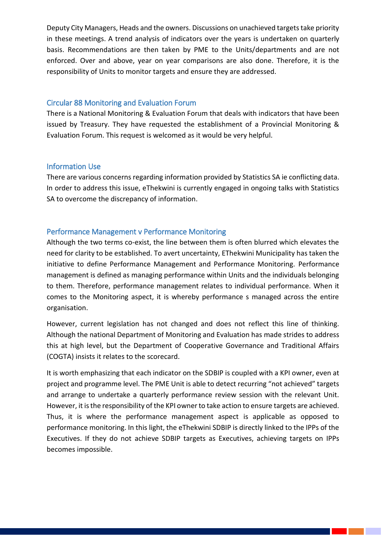Deputy City Managers, Heads and the owners. Discussions on unachieved targets take priority in these meetings. A trend analysis of indicators over the years is undertaken on quarterly basis. Recommendations are then taken by PME to the Units/departments and are not enforced. Over and above, year on year comparisons are also done. Therefore, it is the responsibility of Units to monitor targets and ensure they are addressed.

#### Circular 88 Monitoring and Evaluation Forum

There is a National Monitoring & Evaluation Forum that deals with indicators that have been issued by Treasury. They have requested the establishment of a Provincial Monitoring & Evaluation Forum. This request is welcomed as it would be very helpful.

#### Information Use

There are various concerns regarding information provided by Statistics SA ie conflicting data. In order to address this issue, eThekwini is currently engaged in ongoing talks with Statistics SA to overcome the discrepancy of information.

### Performance Management v Performance Monitoring

Although the two terms co-exist, the line between them is often blurred which elevates the need for clarity to be established. To avert uncertainty, EThekwini Municipality has taken the initiative to define Performance Management and Performance Monitoring. Performance management is defined as managing performance within Units and the individuals belonging to them. Therefore, performance management relates to individual performance. When it comes to the Monitoring aspect, it is whereby performance s managed across the entire organisation.

However, current legislation has not changed and does not reflect this line of thinking. Although the national Department of Monitoring and Evaluation has made strides to address this at high level, but the Department of Cooperative Governance and Traditional Affairs (COGTA) insists it relates to the scorecard.

It is worth emphasizing that each indicator on the SDBIP is coupled with a KPI owner, even at project and programme level. The PME Unit is able to detect recurring "not achieved" targets and arrange to undertake a quarterly performance review session with the relevant Unit. However, it is the responsibility of the KPI owner to take action to ensure targets are achieved. Thus, it is where the performance management aspect is applicable as opposed to performance monitoring. In this light, the eThekwini SDBIP is directly linked to the IPPs of the Executives. If they do not achieve SDBIP targets as Executives, achieving targets on IPPs becomes impossible.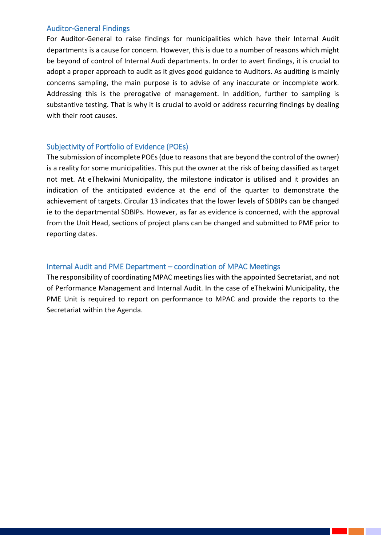### Auditor-General Findings

For Auditor-General to raise findings for municipalities which have their Internal Audit departments is a cause for concern. However, this is due to a number of reasons which might be beyond of control of Internal Audi departments. In order to avert findings, it is crucial to adopt a proper approach to audit as it gives good guidance to Auditors. As auditing is mainly concerns sampling, the main purpose is to advise of any inaccurate or incomplete work. Addressing this is the prerogative of management. In addition, further to sampling is substantive testing. That is why it is crucial to avoid or address recurring findings by dealing with their root causes.

# Subjectivity of Portfolio of Evidence (POEs)

The submission of incomplete POEs (due to reasons that are beyond the control of the owner) is a reality for some municipalities. This put the owner at the risk of being classified as target not met. At eThekwini Municipality, the milestone indicator is utilised and it provides an indication of the anticipated evidence at the end of the quarter to demonstrate the achievement of targets. Circular 13 indicates that the lower levels of SDBIPs can be changed ie to the departmental SDBIPs. However, as far as evidence is concerned, with the approval from the Unit Head, sections of project plans can be changed and submitted to PME prior to reporting dates.

# Internal Audit and PME Department – coordination of MPAC Meetings

The responsibility of coordinating MPAC meetings lies with the appointed Secretariat, and not of Performance Management and Internal Audit. In the case of eThekwini Municipality, the PME Unit is required to report on performance to MPAC and provide the reports to the Secretariat within the Agenda.